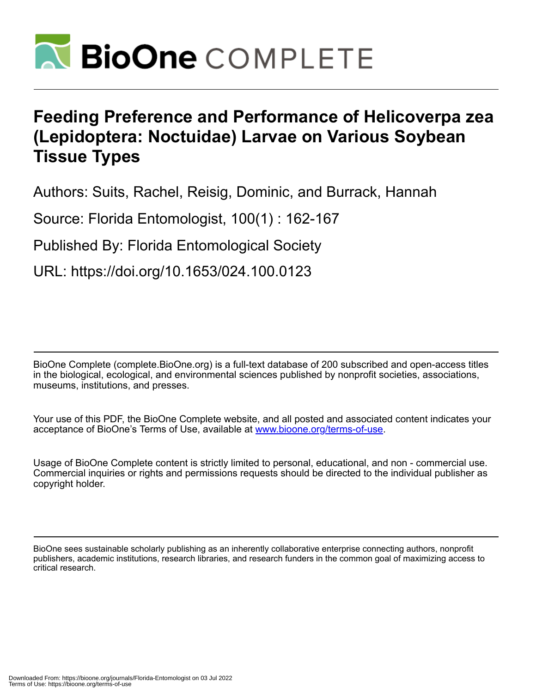

# **Feeding Preference and Performance of Helicoverpa zea (Lepidoptera: Noctuidae) Larvae on Various Soybean Tissue Types**

Authors: Suits, Rachel, Reisig, Dominic, and Burrack, Hannah

Source: Florida Entomologist, 100(1) : 162-167

Published By: Florida Entomological Society

URL: https://doi.org/10.1653/024.100.0123

BioOne Complete (complete.BioOne.org) is a full-text database of 200 subscribed and open-access titles in the biological, ecological, and environmental sciences published by nonprofit societies, associations, museums, institutions, and presses.

Your use of this PDF, the BioOne Complete website, and all posted and associated content indicates your acceptance of BioOne's Terms of Use, available at www.bioone.org/terms-of-use.

Usage of BioOne Complete content is strictly limited to personal, educational, and non - commercial use. Commercial inquiries or rights and permissions requests should be directed to the individual publisher as copyright holder.

BioOne sees sustainable scholarly publishing as an inherently collaborative enterprise connecting authors, nonprofit publishers, academic institutions, research libraries, and research funders in the common goal of maximizing access to critical research.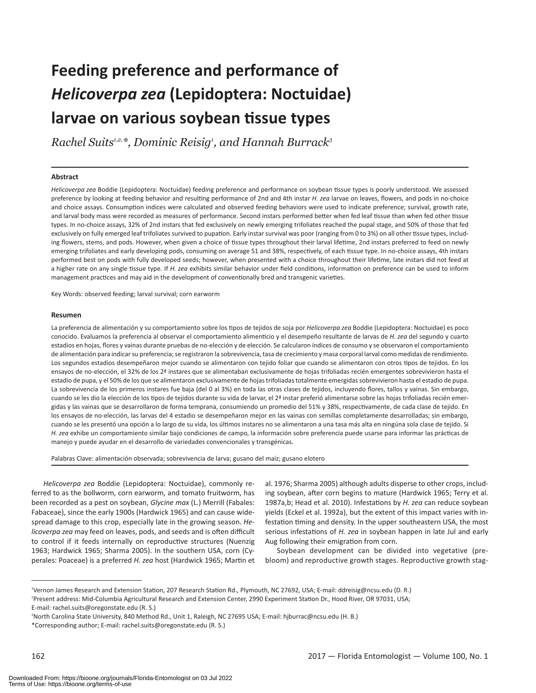# **Feeding preference and performance of**  *Helicoverpa zea* **(Lepidoptera: Noctuidae) larvae on various soybean tissue types**

*Rachel Suits1,2,\*, Dominic Reisig1 , and Hannah Burrack3*

#### **Abstract**

*Helicoverpa zea* Boddie (Lepidoptera: Noctuidae) feeding preference and performance on soybean tissue types is poorly understood. We assessed preference by looking at feeding behavior and resulting performance of 2nd and 4th instar *H. zea* larvae on leaves, flowers, and pods in no-choice and choice assays. Consumption indices were calculated and observed feeding behaviors were used to indicate preference; survival, growth rate, and larval body mass were recorded as measures of performance. Second instars performed better when fed leaf tissue than when fed other tissue types. In no-choice assays, 32% of 2nd instars that fed exclusively on newly emerging trifoliates reached the pupal stage, and 50% of those that fed exclusively on fully emerged leaf trifoliates survived to pupation. Early instar survival was poor (ranging from 0 to 3%) on all other tissue types, including flowers, stems, and pods. However, when given a choice of tissue types throughout their larval lifetime, 2nd instars preferred to feed on newly emerging trifoliates and early developing pods, consuming on average 51 and 38%, respectively, of each tissue type. In no-choice assays, 4th instars performed best on pods with fully developed seeds; however, when presented with a choice throughout their lifetime, late instars did not feed at a higher rate on any single tissue type. If *H. zea* exhibits similar behavior under field conditions, information on preference can be used to inform management practices and may aid in the development of conventionally bred and transgenic varieties.

Key Words: observed feeding; larval survival; corn earworm

#### **Resumen**

La preferencia de alimentación y su comportamiento sobre los tipos de tejidos de soja por *Helicoverpa zea* Boddie (Lepidoptera: Noctuidae) es poco conocido. Evaluamos la preferencia al observar el comportamiento alimenticio y el desempeño resultante de larvas de *H. zea* del segundo y cuarto estadios en hojas, flores y vainas durante pruebas de no-elección y de elección. Se calcularon índices de consumo y se observaron el comportamiento de alimentación para indicar su preferencia; se registraron la sobrevivencia, tasa de crecimiento y masa corporal larval como medidas de rendimiento. Los segundos estadios desempeñaron mejor cuando se alimentaron con tejido foliar que cuando se alimentaron con otros tipos de tejidos. En los ensayos de no-elección, el 32% de los 2ª instares que se alimentaban exclusivamente de hojas trifoliadas recién emergentes sobrevivieron hasta el estadio de pupa, y el 50% de los que se alimentaron exclusivamente de hojas trifoliadas totalmente emergidas sobrevivieron hasta el estadio de pupa. La sobrevivencia de los primeros instares fue baja (del 0 al 3%) en toda las otras clases de tejidos, incluyendo flores, tallos y vainas. Sin embargo, cuando se les dio la elección de los tipos de tejidos durante su vida de larvar, el 2ª instar preferió alimentarse sobre las hojas trifoliadas recién emergidas y las vainas que se desarrollaron de forma temprana, consumiendo un promedio del 51% y 38%, respectivamente, de cada clase de tejido. En los ensayos de no-elección, las larvas del 4 estadio se desempeñaron mejor en las vainas con semillas completamente desarrolladas; sin embargo, cuando se les presentó una opción a lo largo de su vida, los últimos instares no se alimentaron a una tasa más alta en ningúna sola clase de tejido. Si *H. zea* exhibe un comportamiento similar bajo condiciones de campo, la información sobre preferencia puede usarse para informar las prácticas de manejo y puede ayudar en el desarrollo de variedades convencionales y transgénicas.

Palabras Clave: alimentación observada; sobrevivencia de larva; gusano del maíz; gusano elotero

*Helicoverpa zea* Boddie (Lepidoptera: Noctuidae), commonly referred to as the bollworm, corn earworm, and tomato fruitworm, has been recorded as a pest on soybean, *Glycine max* (L.) Merrill (Fabales: Fabaceae), since the early 1900s (Hardwick 1965) and can cause widespread damage to this crop, especially late in the growing season. *Helicoverpa zea* may feed on leaves, pods, and seeds and is often difficult to control if it feeds internally on reproductive structures (Nuenzig 1963; Hardwick 1965; Sharma 2005). In the southern USA, corn (Cyperales: Poaceae) is a preferred *H. zea* host (Hardwick 1965; Martin et al. 1976; Sharma 2005) although adults disperse to other crops, including soybean, after corn begins to mature (Hardwick 1965; Terry et al. 1987a,b; Head et al. 2010). Infestations by *H. zea* can reduce soybean yields (Eckel et al. 1992a), but the extent of this impact varies with infestation timing and density. In the upper southeastern USA, the most serious infestations of *H. zea* in soybean happen in late Jul and early Aug following their emigration from corn.

Soybean development can be divided into vegetative (prebloom) and reproductive growth stages. Reproductive growth stag-

<sup>1</sup> Vernon James Research and Extension Station, 207 Research Station Rd., Plymouth, NC 27692, USA; E-mail: ddreisig@ncsu.edu (D. R.) 2 Present address: Mid-Columbia Agricultural Research and Extension Center, 2990 Experiment Station Dr., Hood River, OR 97031, USA; E-mail: rachel.suits@oregonstate.edu (R. S.)

<sup>3</sup> North Carolina State University, 840 Method Rd., Unit 1, Raleigh, NC 27695 USA; E-mail: hjburrac@ncsu.edu (H. B.) \*Corresponding author; E-mail: rachel.suits@oregonstate.edu (R. S.)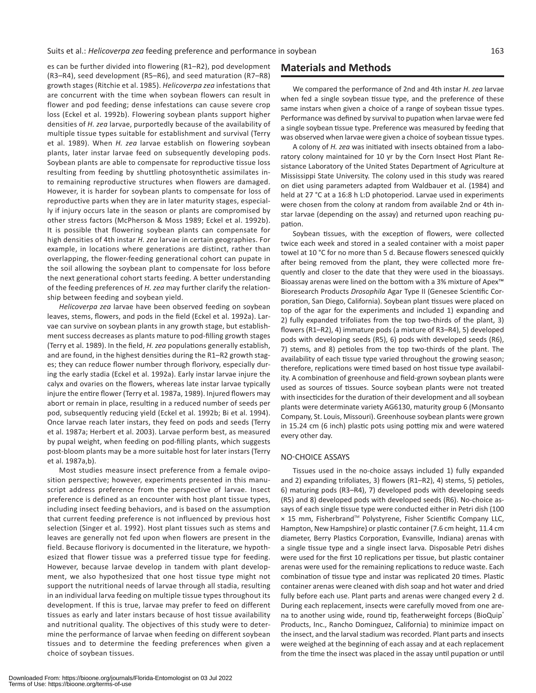es can be further divided into flowering (R1–R2), pod development (R3–R4), seed development (R5–R6), and seed maturation (R7–R8) growth stages (Ritchie et al. 1985). *Helicoverpa zea* infestations that are concurrent with the time when soybean flowers can result in flower and pod feeding; dense infestations can cause severe crop loss (Eckel et al. 1992b). Flowering soybean plants support higher densities of *H. zea* larvae, purportedly because of the availability of multiple tissue types suitable for establishment and survival (Terry et al. 1989). When *H. zea* larvae establish on flowering soybean plants, later instar larvae feed on subsequently developing pods. Soybean plants are able to compensate for reproductive tissue loss resulting from feeding by shuttling photosynthetic assimilates into remaining reproductive structures when flowers are damaged. However, it is harder for soybean plants to compensate for loss of reproductive parts when they are in later maturity stages, especially if injury occurs late in the season or plants are compromised by other stress factors (McPherson & Moss 1989; Eckel et al. 1992b). It is possible that flowering soybean plants can compensate for high densities of 4th instar *H. zea* larvae in certain geographies. For example, in locations where generations are distinct, rather than overlapping, the flower-feeding generational cohort can pupate in the soil allowing the soybean plant to compensate for loss before the next generational cohort starts feeding. A better understanding of the feeding preferences of *H. zea* may further clarify the relationship between feeding and soybean yield.

*Helicoverpa zea* larvae have been observed feeding on soybean leaves, stems, flowers, and pods in the field (Eckel et al. 1992a). Larvae can survive on soybean plants in any growth stage, but establishment success decreases as plants mature to pod-filling growth stages (Terry et al. 1989). In the field, *H. zea* populations generally establish, and are found, in the highest densities during the R1–R2 growth stages; they can reduce flower number through florivory, especially during the early stadia (Eckel et al. 1992a). Early instar larvae injure the calyx and ovaries on the flowers, whereas late instar larvae typically injure the entire flower (Terry et al. 1987a, 1989). Injured flowers may abort or remain in place, resulting in a reduced number of seeds per pod, subsequently reducing yield (Eckel et al. 1992b; Bi et al. 1994). Once larvae reach later instars, they feed on pods and seeds (Terry et al. 1987a; Herbert et al. 2003). Larvae perform best, as measured by pupal weight, when feeding on pod-filling plants, which suggests post-bloom plants may be a more suitable host for later instars (Terry et al. 1987a,b).

Most studies measure insect preference from a female oviposition perspective; however, experiments presented in this manuscript address preference from the perspective of larvae. Insect preference is defined as an encounter with host plant tissue types, including insect feeding behaviors, and is based on the assumption that current feeding preference is not influenced by previous host selection (Singer et al. 1992). Host plant tissues such as stems and leaves are generally not fed upon when flowers are present in the field. Because florivory is documented in the literature, we hypothesized that flower tissue was a preferred tissue type for feeding. However, because larvae develop in tandem with plant development, we also hypothesized that one host tissue type might not support the nutritional needs of larvae through all stadia, resulting in an individual larva feeding on multiple tissue types throughout its development. If this is true, larvae may prefer to feed on different tissues as early and later instars because of host tissue availability and nutritional quality. The objectives of this study were to determine the performance of larvae when feeding on different soybean tissues and to determine the feeding preferences when given a choice of soybean tissues.

# **Materials and Methods**

We compared the performance of 2nd and 4th instar *H. zea* larvae when fed a single soybean tissue type, and the preference of these same instars when given a choice of a range of soybean tissue types. Performance was defined by survival to pupation when larvae were fed a single soybean tissue type. Preference was measured by feeding that was observed when larvae were given a choice of soybean tissue types.

A colony of *H. zea* was initiated with insects obtained from a laboratory colony maintained for 10 yr by the Corn Insect Host Plant Resistance Laboratory of the United States Department of Agriculture at Mississippi State University. The colony used in this study was reared on diet using parameters adapted from Waldbauer et al. (1984) and held at 27 °C at a 16:8 h L:D photoperiod. Larvae used in experiments were chosen from the colony at random from available 2nd or 4th instar larvae (depending on the assay) and returned upon reaching pupation.

Soybean tissues, with the exception of flowers, were collected twice each week and stored in a sealed container with a moist paper towel at 10 °C for no more than 5 d. Because flowers senesced quickly after being removed from the plant, they were collected more frequently and closer to the date that they were used in the bioassays. Bioassay arenas were lined on the bottom with a 3% mixture of Apex™ Bioresearch Products *Drosophila* Agar Type II (Genesee Scientific Corporation, San Diego, California). Soybean plant tissues were placed on top of the agar for the experiments and included 1) expanding and 2) fully expanded trifoliates from the top two-thirds of the plant, 3) flowers (R1–R2), 4) immature pods (a mixture of R3–R4), 5) developed pods with developing seeds (R5), 6) pods with developed seeds (R6), 7) stems, and 8) petioles from the top two-thirds of the plant. The availability of each tissue type varied throughout the growing season; therefore, replications were timed based on host tissue type availability. A combination of greenhouse and field-grown soybean plants were used as sources of tissues. Source soybean plants were not treated with insecticides for the duration of their development and all soybean plants were determinate variety AG6130, maturity group 6 (Monsanto Company, St. Louis, Missouri). Greenhouse soybean plants were grown in 15.24 cm (6 inch) plastic pots using potting mix and were watered every other day.

### NO-CHOICE ASSAYS

Tissues used in the no-choice assays included 1) fully expanded and 2) expanding trifoliates, 3) flowers (R1–R2), 4) stems, 5) petioles, 6) maturing pods (R3–R4), 7) developed pods with developing seeds (R5) and 8) developed pods with developed seeds (R6). No-choice assays of each single tissue type were conducted either in Petri dish (100 × 15 mm, Fisherbrand™ Polystyrene, Fisher Scientific Company LLC, Hampton, New Hampshire) or plastic container (7.6 cm height, 11.4 cm diameter, Berry Plastics Corporation, Evansville, Indiana) arenas with a single tissue type and a single insect larva. Disposable Petri dishes were used for the first 10 replications per tissue, but plastic container arenas were used for the remaining replications to reduce waste. Each combination of tissue type and instar was replicated 20 times. Plastic container arenas were cleaned with dish soap and hot water and dried fully before each use. Plant parts and arenas were changed every 2 d. During each replacement, insects were carefully moved from one arena to another using wide, round tip, featherweight forceps (BioQuip<sup>®</sup> Products, Inc., Rancho Dominguez, California) to minimize impact on the insect, and the larval stadium was recorded. Plant parts and insects were weighed at the beginning of each assay and at each replacement from the time the insect was placed in the assay until pupation or until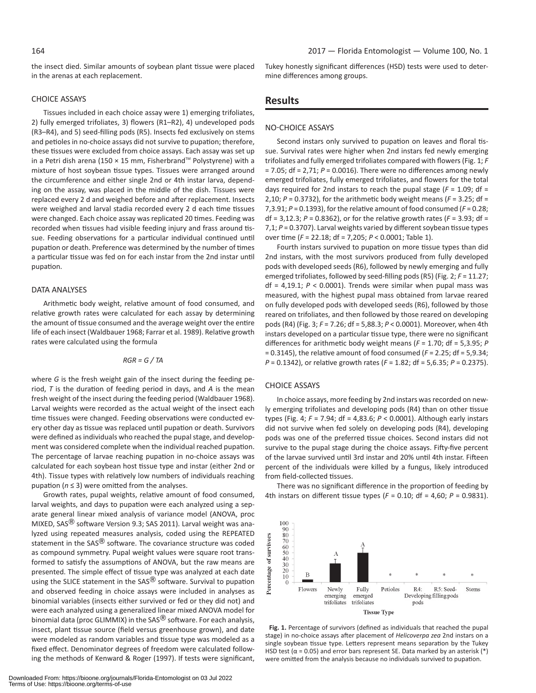the insect died. Similar amounts of soybean plant tissue were placed in the arenas at each replacement.

#### CHOICE ASSAYS

Tissues included in each choice assay were 1) emerging trifoliates, 2) fully emerged trifoliates, 3) flowers (R1–R2), 4) undeveloped pods (R3–R4), and 5) seed-filling pods (R5). Insects fed exclusively on stems and petioles in no-choice assays did not survive to pupation; therefore, these tissues were excluded from choice assays. Each assay was set up in a Petri dish arena (150 × 15 mm, Fisherbrand™ Polystyrene) with a mixture of host soybean tissue types. Tissues were arranged around the circumference and either single 2nd or 4th instar larva, depending on the assay, was placed in the middle of the dish. Tissues were replaced every 2 d and weighed before and after replacement. Insects were weighed and larval stadia recorded every 2 d each time tissues were changed. Each choice assay was replicated 20 times. Feeding was recorded when tissues had visible feeding injury and frass around tissue. Feeding observations for a particular individual continued until pupation or death. Preference was determined by the number of times a particular tissue was fed on for each instar from the 2nd instar until pupation.

#### DATA ANALYSES

Arithmetic body weight, relative amount of food consumed, and relative growth rates were calculated for each assay by determining the amount of tissue consumed and the average weight over the entire life of each insect (Waldbauer 1968; Farrar et al. 1989). Relative growth rates were calculated using the formula

$$
RGR = G / TA
$$

where *G* is the fresh weight gain of the insect during the feeding period, *T* is the duration of feeding period in days, and *A* is the mean fresh weight of the insect during the feeding period (Waldbauer 1968). Larval weights were recorded as the actual weight of the insect each time tissues were changed. Feeding observations were conducted every other day as tissue was replaced until pupation or death. Survivors were defined as individuals who reached the pupal stage, and development was considered complete when the individual reached pupation. The percentage of larvae reaching pupation in no-choice assays was calculated for each soybean host tissue type and instar (either 2nd or 4th). Tissue types with relatively low numbers of individuals reaching pupation (*n* ≤ 3) were omitted from the analyses.

Growth rates, pupal weights, relative amount of food consumed, larval weights, and days to pupation were each analyzed using a separate general linear mixed analysis of variance model (ANOVA, proc MIXED, SAS<sup>®</sup> software Version 9.3; SAS 2011). Larval weight was analyzed using repeated measures analysis, coded using the REPEATED statement in the  $SAS^{\textcircled{R}}$  software. The covariance structure was coded as compound symmetry. Pupal weight values were square root transformed to satisfy the assumptions of ANOVA, but the raw means are presented. The simple effect of tissue type was analyzed at each date using the SLICE statement in the SAS<sup>®</sup> software. Survival to pupation and observed feeding in choice assays were included in analyses as binomial variables (insects either survived or fed or they did not) and were each analyzed using a generalized linear mixed ANOVA model for binomial data (proc GLIMMIX) in the  $SAS^{\textcircled{B}}$  software. For each analysis, insect, plant tissue source (field versus greenhouse grown), and date were modeled as random variables and tissue type was modeled as a fixed effect. Denominator degrees of freedom were calculated following the methods of Kenward & Roger (1997). If tests were significant,

Tukey honestly significant differences (HSD) tests were used to determine differences among groups.

### **Results**

### NO-CHOICE ASSAYS

Second instars only survived to pupation on leaves and floral tissue. Survival rates were higher when 2nd instars fed newly emerging trifoliates and fully emerged trifoliates compared with flowers (Fig. 1; *F*  $= 7.05$ ; df  $= 2.71$ ;  $P = 0.0016$ ). There were no differences among newly emerged trifoliates, fully emerged trifoliates, and flowers for the total days required for 2nd instars to reach the pupal stage  $(F = 1.09; df =$ 2,10; *P* = 0.3732), for the arithmetic body weight means (*F* = 3.25; df = 7,3.91; *P* = 0.1393), for the relative amount of food consumed (*F* = 0.28; df = 3,12.3; *P* = 0.8362), or for the relative growth rates (*F* = 3.93; df = 7,1; *P* = 0.3707). Larval weights varied by different soybean tissue types over time (*F* = 22.18; df = 7,205; *P* < 0.0001; Table 1).

Fourth instars survived to pupation on more tissue types than did 2nd instars, with the most survivors produced from fully developed pods with developed seeds (R6), followed by newly emerging and fully emerged trifoliates, followed by seed-filling pods (R5) (Fig. 2; *F* = 11.27; df =  $4,19.1$ ;  $P < 0.0001$ ). Trends were similar when pupal mass was measured, with the highest pupal mass obtained from larvae reared on fully developed pods with developed seeds (R6), followed by those reared on trifoliates, and then followed by those reared on developing pods (R4) (Fig. 3; *F* = 7.26; df = 5,88.3; *P* < 0.0001). Moreover, when 4th instars developed on a particular tissue type, there were no significant differences for arithmetic body weight means (*F* = 1.70; df = 5,3.95; *P* = 0.3145), the relative amount of food consumed (*F* = 2.25; df = 5,9.34; *P* = 0.1342), or relative growth rates (*F* = 1.82; df = 5,6.35; *P* = 0.2375).

#### CHOICE ASSAYS

In choice assays, more feeding by 2nd instars was recorded on newly emerging trifoliates and developing pods (R4) than on other tissue types (Fig. 4; *F* = 7.94; df = 4,83.6; *P* < 0.0001). Although early instars did not survive when fed solely on developing pods (R4), developing pods was one of the preferred tissue choices. Second instars did not survive to the pupal stage during the choice assays. Fifty-five percent of the larvae survived until 3rd instar and 20% until 4th instar. Fifteen percent of the individuals were killed by a fungus, likely introduced from field-collected tissues.

There was no significant difference in the proportion of feeding by 4th instars on different tissue types (*F* = 0.10; df = 4,60; *P* = 0.9831).



**Fig. 1.** Percentage of survivors (defined as individuals that reached the pupal stage) in no-choice assays after placement of *Helicoverpa zea* 2nd instars on a single soybean tissue type. Letters represent means separation by the Tukey HSD test ( $\alpha$  = 0.05) and error bars represent SE. Data marked by an asterisk (\*) were omitted from the analysis because no individuals survived to pupation.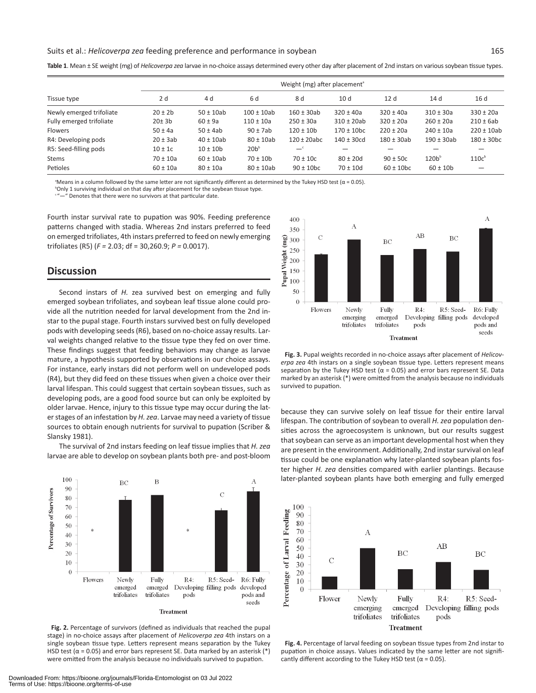#### Suits et al.: *Helicoverpa zea* feeding preference and performance in soybean 165

|                          | Weight (mg) after placement <sup>a</sup> |                |                 |                           |                            |                           |                   |                            |
|--------------------------|------------------------------------------|----------------|-----------------|---------------------------|----------------------------|---------------------------|-------------------|----------------------------|
| Tissue type              | 2 d                                      | 4d             | 6 d             | 8 d                       | 10 <sub>d</sub>            | 12d                       | 14 d              | 16 d                       |
| Newly emerged trifoliate | $20 \pm 2b$                              | $50 \pm 10$ ab | $100 \pm 10$ ab | $160 \pm 30$ ab           | $320 \pm 40a$              | $320 \pm 40a$             | $310 \pm 30a$     | $330 \pm 20a$              |
| Fully emerged trifoliate | 20±3b                                    | $60 \pm 9a$    | $110 \pm 10a$   | $250 \pm 30a$             | $310 \pm 20ab$             | $320 \pm 20a$             | $260 \pm 20a$     | $210 \pm 6ab$              |
| <b>Flowers</b>           | $50 \pm 4a$                              | $50 \pm 4ab$   | $90 \pm 7ab$    | $120 \pm 10b$             | $170 \pm 10$ <sub>bc</sub> | $220 \pm 20a$             | $240 \pm 10a$     | $220 \pm 10$ ab            |
| R4: Developing pods      | $20 \pm 3ab$                             | $40 \pm 10$ ab | $80 \pm 10$ ab  | $120 \pm 20$ abc          | $140 \pm 30cd$             | $180 \pm 30$ ab           | $190 \pm 30$ ab   | $180 \pm 30$ <sub>bc</sub> |
| R5: Seed-filling pods    | $10 \pm 1c$                              | $10 \pm 10$    | $20b^b$         | $-{}^{\circ}$             |                            |                           |                   |                            |
| <b>Stems</b>             | $70 \pm 10a$                             | $60 \pm 10$ ab | $70 \pm 10$     | $70 \pm 10c$              | $80 \pm 20d$               | $90 \pm 50c$              | 120b <sup>b</sup> | 110c <sup>b</sup>          |
| Petioles                 | $60 \pm 10a$                             | $80 \pm 10a$   | $80 \pm 10$ ab  | $90 \pm 10$ <sub>bc</sub> | $70 \pm 10d$               | $60 \pm 10$ <sub>bc</sub> | $60 \pm 10$       |                            |

**Table 1**. Mean ± SE weight (mg) of *Helicoverpa zea* larvae in no-choice assays determined every other day after placement of 2nd instars on various soybean tissue types.

<sup>a</sup>Means in a column followed by the same letter are not significantly different as determined by the Tukey HSD test ( $\alpha$  = 0.05).

<sup>b</sup>Only 1 surviving individual on that day after placement for the soybean tissue type.

<sup>c</sup>"—" Denotes that there were no survivors at that particular date.

Fourth instar survival rate to pupation was 90%. Feeding preference patterns changed with stadia. Whereas 2nd instars preferred to feed on emerged trifoliates, 4th instars preferred to feed on newly emerging trifoliates (R5) (*F =* 2.03; df = 30,260.9; *P =* 0.0017).

# **Discussion**

Second instars of *H.* zea survived best on emerging and fully emerged soybean trifoliates, and soybean leaf tissue alone could provide all the nutrition needed for larval development from the 2nd instar to the pupal stage. Fourth instars survived best on fully developed pods with developing seeds (R6), based on no-choice assay results. Larval weights changed relative to the tissue type they fed on over time. These findings suggest that feeding behaviors may change as larvae mature, a hypothesis supported by observations in our choice assays. For instance, early instars did not perform well on undeveloped pods (R4), but they did feed on these tissues when given a choice over their larval lifespan. This could suggest that certain soybean tissues, such as developing pods, are a good food source but can only be exploited by older larvae. Hence, injury to this tissue type may occur during the later stages of an infestation by *H. zea*. Larvae may need a variety of tissue sources to obtain enough nutrients for survival to pupation (Scriber & Slansky 1981).

The survival of 2nd instars feeding on leaf tissue implies that *H. zea* larvae are able to develop on soybean plants both pre- and post-bloom







**Fig. 3.** Pupal weights recorded in no-choice assays after placement of *Helicoverpa zea* 4th instars on a single soybean tissue type. Letters represent means separation by the Tukey HSD test ( $\alpha$  = 0.05) and error bars represent SE. Data marked by an asterisk (\*) were omitted from the analysis because no individuals survived to pupation.

because they can survive solely on leaf tissue for their entire larval lifespan. The contribution of soybean to overall *H. zea* population densities across the agroecosystem is unknown, but our results suggest that soybean can serve as an important developmental host when they are present in the environment. Additionally, 2nd instar survival on leaf tissue could be one explanation why later-planted soybean plants foster higher *H. zea* densities compared with earlier plantings. Because later-planted soybean plants have both emerging and fully emerged



**Fig. 4.** Percentage of larval feeding on soybean tissue types from 2nd instar to pupation in choice assays. Values indicated by the same letter are not significantly different according to the Tukey HSD test ( $\alpha$  = 0.05).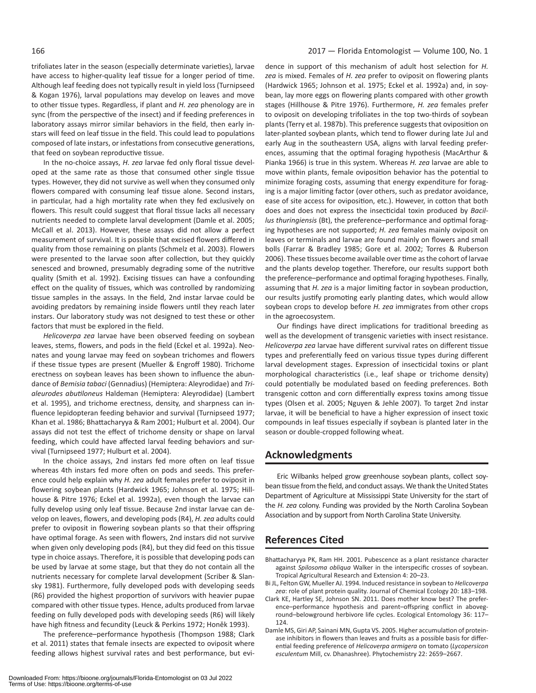trifoliates later in the season (especially determinate varieties), larvae have access to higher-quality leaf tissue for a longer period of time. Although leaf feeding does not typically result in yield loss (Turnipseed & Kogan 1976), larval populations may develop on leaves and move to other tissue types. Regardless, if plant and *H. zea* phenology are in sync (from the perspective of the insect) and if feeding preferences in laboratory assays mirror similar behaviors in the field, then early instars will feed on leaf tissue in the field. This could lead to populations composed of late instars, or infestations from consecutive generations, that feed on soybean reproductive tissue.

In the no-choice assays, *H. zea* larvae fed only floral tissue developed at the same rate as those that consumed other single tissue types. However, they did not survive as well when they consumed only flowers compared with consuming leaf tissue alone. Second instars, in particular, had a high mortality rate when they fed exclusively on flowers. This result could suggest that floral tissue lacks all necessary nutrients needed to complete larval development (Damle et al. 2005; McCall et al. 2013). However, these assays did not allow a perfect measurement of survival. It is possible that excised flowers differed in quality from those remaining on plants (Schmelz et al. 2003). Flowers were presented to the larvae soon after collection, but they quickly senesced and browned, presumably degrading some of the nutritive quality (Smith et al. 1992). Excising tissues can have a confounding effect on the quality of tissues, which was controlled by randomizing tissue samples in the assays. In the field, 2nd instar larvae could be avoiding predators by remaining inside flowers until they reach later instars. Our laboratory study was not designed to test these or other factors that must be explored in the field.

*Helicoverpa zea* larvae have been observed feeding on soybean leaves, stems, flowers, and pods in the field (Eckel et al. 1992a). Neonates and young larvae may feed on soybean trichomes and flowers if these tissue types are present (Mueller & Engroff 1980). Trichome erectness on soybean leaves has been shown to influence the abundance of *Bemisia tabaci* (Gennadius) (Hemiptera: Aleyrodidae) and *Trialeurodes abutiloneus* Haldeman (Hemiptera: Aleyrodidae) (Lambert et al. 1995), and trichome erectness, density, and sharpness can influence lepidopteran feeding behavior and survival (Turnipseed 1977; Khan et al. 1986; Bhattacharyya & Ram 2001; Hulburt et al. 2004). Our assays did not test the effect of trichome density or shape on larval feeding, which could have affected larval feeding behaviors and survival (Turnipseed 1977; Hulburt et al. 2004).

In the choice assays, 2nd instars fed more often on leaf tissue whereas 4th instars fed more often on pods and seeds. This preference could help explain why *H. zea* adult females prefer to oviposit in flowering soybean plants (Hardwick 1965; Johnson et al. 1975; Hillhouse & Pitre 1976; Eckel et al. 1992a), even though the larvae can fully develop using only leaf tissue. Because 2nd instar larvae can develop on leaves, flowers, and developing pods (R4), *H. zea* adults could prefer to oviposit in flowering soybean plants so that their offspring have optimal forage. As seen with flowers, 2nd instars did not survive when given only developing pods (R4), but they did feed on this tissue type in choice assays. Therefore, it is possible that developing pods can be used by larvae at some stage, but that they do not contain all the nutrients necessary for complete larval development (Scriber & Slansky 1981). Furthermore, fully developed pods with developing seeds (R6) provided the highest proportion of survivors with heavier pupae compared with other tissue types. Hence, adults produced from larvae feeding on fully developed pods with developing seeds (R6) will likely have high fitness and fecundity (Leuck & Perkins 1972; Honěk 1993).

The preference–performance hypothesis (Thompson 1988; Clark et al. 2011) states that female insects are expected to oviposit where feeding allows highest survival rates and best performance, but evi-

dence in support of this mechanism of adult host selection for *H. zea* is mixed. Females of *H. zea* prefer to oviposit on flowering plants (Hardwick 1965; Johnson et al. 1975; Eckel et al. 1992a) and, in soybean, lay more eggs on flowering plants compared with other growth stages (Hillhouse & Pitre 1976). Furthermore, *H. zea* females prefer to oviposit on developing trifoliates in the top two-thirds of soybean plants (Terry et al. 1987b). This preference suggests that oviposition on later-planted soybean plants, which tend to flower during late Jul and early Aug in the southeastern USA, aligns with larval feeding preferences, assuming that the optimal foraging hypothesis (MacArthur & Pianka 1966) is true in this system. Whereas *H. zea* larvae are able to move within plants, female oviposition behavior has the potential to minimize foraging costs, assuming that energy expenditure for foraging is a major limiting factor (over others, such as predator avoidance, ease of site access for oviposition, etc.). However, in cotton that both does and does not express the insecticidal toxin produced by *Bacillus thuringiensis* (Bt), the preference–performance and optimal foraging hypotheses are not supported; *H. zea* females mainly oviposit on leaves or terminals and larvae are found mainly on flowers and small bolls (Farrar & Bradley 1985; Gore et al. 2002; Torres & Ruberson 2006). These tissues become available over time as the cohort of larvae and the plants develop together. Therefore, our results support both the preference–performance and optimal foraging hypotheses. Finally, assuming that *H. zea* is a major limiting factor in soybean production, our results justify promoting early planting dates, which would allow soybean crops to develop before *H. zea* immigrates from other crops in the agroecosystem.

Our findings have direct implications for traditional breeding as well as the development of transgenic varieties with insect resistance. *Helicoverpa zea* larvae have different survival rates on different tissue types and preferentially feed on various tissue types during different larval development stages. Expression of insecticidal toxins or plant morphological characteristics (i.e., leaf shape or trichome density) could potentially be modulated based on feeding preferences. Both transgenic cotton and corn differentially express toxins among tissue types (Olsen et al. 2005; Nguyen & Jehle 2007). To target 2nd instar larvae, it will be beneficial to have a higher expression of insect toxic compounds in leaf tissues especially if soybean is planted later in the season or double-cropped following wheat.

# **Acknowledgments**

Eric Wilbanks helped grow greenhouse soybean plants, collect soybean tissue from the field, and conduct assays. We thank the United States Department of Agriculture at Mississippi State University for the start of the *H. zea* colony. Funding was provided by the North Carolina Soybean Association and by support from North Carolina State University.

# **References Cited**

- Bhattacharyya PK, Ram HH. 2001. Pubescence as a plant resistance character against *Spilosoma obliqua* Walker in the interspecific crosses of soybean. Tropical Agricultural Research and Extension 4: 20–23.
- Bi JL, Felton GW, Mueller AJ. 1994. Induced resistance in soybean to *Helicoverpa zea*: role of plant protein quality. Journal of Chemical Ecology 20: 183–198.
- Clark KE, Hartley SE, Johnson SN. 2011. Does mother know best? The preference–performance hypothesis and parent–offspring conflict in aboveground–belowground herbivore life cycles. Ecological Entomology 36: 117– 124.
- Damle MS, Giri AP, Sainani MN, Gupta VS. 2005. Higher accumulation of proteinase inhibitors in flowers than leaves and fruits as a possible basis for differential feeding preference of *Helicoverpa armigera* on tomato (*Lycopersicon esculentum* Mill, cv. Dhanashree). Phytochemistry 22: 2659–2667.